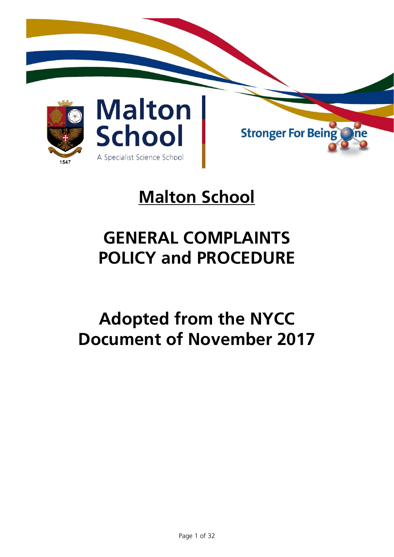

# **Malton School**

# **GENERAL COMPLAINTS POLICY and PROCEDURE**

# **Adopted from the NYCC Document of November 2017**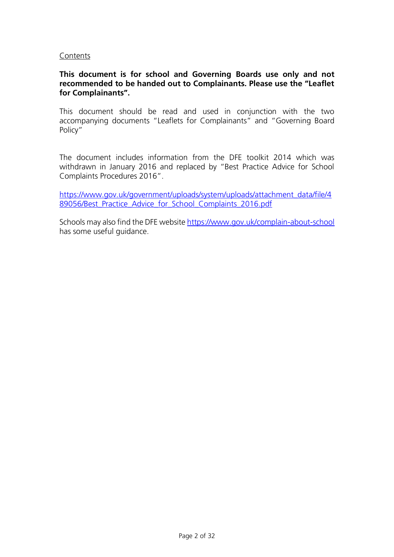#### Contents

#### **This document is for school and Governing Boards use only and not recommended to be handed out to Complainants. Please use the "Leaflet for Complainants".**

This document should be read and used in conjunction with the two accompanying documents "Leaflets for Complainants" and "Governing Board Policy"

The document includes information from the DFE toolkit 2014 which was withdrawn in January 2016 and replaced by "Best Practice Advice for School Complaints Procedures 2016".

[https://www.gov.uk/government/uploads/system/uploads/attachment\\_data/file/4](https://www.gov.uk/government/uploads/system/uploads/attachment_data/file/489056/Best_Practice_Advice_for_School_Complaints_2016.pdf) [89056/Best\\_Practice\\_Advice\\_for\\_School\\_Complaints\\_2016.pdf](https://www.gov.uk/government/uploads/system/uploads/attachment_data/file/489056/Best_Practice_Advice_for_School_Complaints_2016.pdf)

Schools may also find the DFE websit[e https://www.gov.uk/complain-about-school](https://www.gov.uk/complain-about-school) has some useful guidance.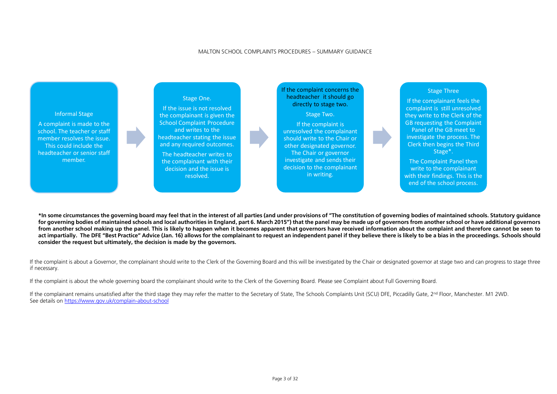## MALTON SCHOOL COMPLAINTS PROCEDURES – SUMMARY GUIDANCE

**\*In some circumstances the governing board may feel that in the interest of all parties (and under provisions of "The constitution of governing bodies of maintained schools. Statutory guidance for governing bodies of maintained schools and local authorities in England, part 6. March 2015") that the panel may be made up of governors from another school or have additional governors from another school making up the panel. This is likely to happen when it becomes apparent that governors have received information about the complaint and therefore cannot be seen to**  act impartially. The DFE "Best Practice" Advice (Jan. 16) allows for the complainant to request an independent panel if they believe there is likely to be a bias in the proceedings. Schools should **consider the request but ultimately, the decision is made by the governors.**

If the complaint is about a Governor, the complainant should write to the Clerk of the Governing Board and this will be investigated by the Chair or designated governor at stage two and can progress to stage three if necessary.

If the complainant remains unsatisfied after the third stage they may refer the matter to the Secretary of State, The Schools Complaints Unit (SCU) DFE, Piccadilly Gate, 2<sup>nd</sup> Floor, Manchester. M1 2WD. See details on<https://www.gov.uk/complain-about-school>

If the complaint is about the whole governing board the complainant should write to the Clerk of the Governing Board. Please see Complaint about Full Governing Board.



## Stage Three

If the complainant feels the complaint is still unresolved they write to the Clerk of the GB requesting the Complaint Panel of the GB meet to investigate the process. The Clerk then begins the Third Stage\*.

The Complaint Panel then write to the complainant with their findings. This is the end of the school process.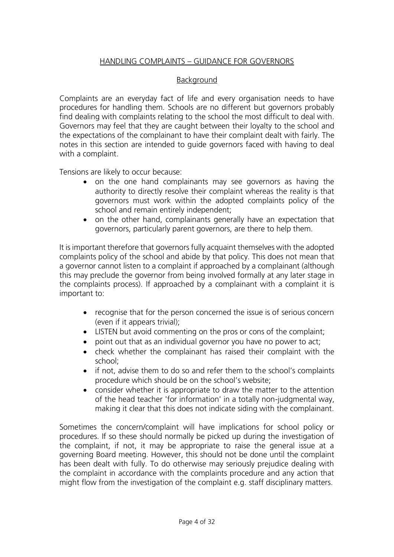## HANDLING COMPLAINTS – GUIDANCE FOR GOVERNORS

## Background

Complaints are an everyday fact of life and every organisation needs to have procedures for handling them. Schools are no different but governors probably find dealing with complaints relating to the school the most difficult to deal with. Governors may feel that they are caught between their loyalty to the school and the expectations of the complainant to have their complaint dealt with fairly. The notes in this section are intended to guide governors faced with having to deal with a complaint.

Tensions are likely to occur because:

- on the one hand complainants may see governors as having the authority to directly resolve their complaint whereas the reality is that governors must work within the adopted complaints policy of the school and remain entirely independent;
- on the other hand, complainants generally have an expectation that governors, particularly parent governors, are there to help them.

It is important therefore that governors fully acquaint themselves with the adopted complaints policy of the school and abide by that policy. This does not mean that a governor cannot listen to a complaint if approached by a complainant (although this may preclude the governor from being involved formally at any later stage in the complaints process). If approached by a complainant with a complaint it is important to:

- recognise that for the person concerned the issue is of serious concern (even if it appears trivial);
- LISTEN but avoid commenting on the pros or cons of the complaint;
- point out that as an individual governor you have no power to act;
- check whether the complainant has raised their complaint with the school;
- if not, advise them to do so and refer them to the school's complaints procedure which should be on the school's website;
- consider whether it is appropriate to draw the matter to the attention of the head teacher 'for information' in a totally non-judgmental way, making it clear that this does not indicate siding with the complainant.

Sometimes the concern/complaint will have implications for school policy or procedures. If so these should normally be picked up during the investigation of the complaint, if not, it may be appropriate to raise the general issue at a governing Board meeting. However, this should not be done until the complaint has been dealt with fully. To do otherwise may seriously prejudice dealing with the complaint in accordance with the complaints procedure and any action that might flow from the investigation of the complaint e.g. staff disciplinary matters.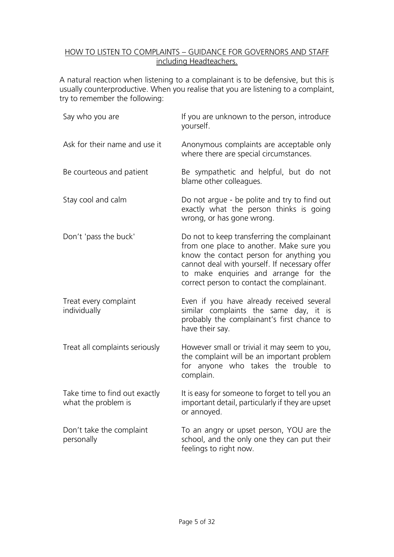## HOW TO LISTEN TO COMPLAINTS – GUIDANCE FOR GOVERNORS AND STAFF including Headteachers.

A natural reaction when listening to a complainant is to be defensive, but this is usually counterproductive. When you realise that you are listening to a complaint, try to remember the following:

| Say who you are                                      | If you are unknown to the person, introduce<br>yourself.                                                                                                                                                                                                                    |  |
|------------------------------------------------------|-----------------------------------------------------------------------------------------------------------------------------------------------------------------------------------------------------------------------------------------------------------------------------|--|
| Ask for their name and use it                        | Anonymous complaints are acceptable only<br>where there are special circumstances.                                                                                                                                                                                          |  |
| Be courteous and patient                             | Be sympathetic and helpful, but do not<br>blame other colleagues.                                                                                                                                                                                                           |  |
| Stay cool and calm                                   | Do not argue - be polite and try to find out<br>exactly what the person thinks is going<br>wrong, or has gone wrong.                                                                                                                                                        |  |
| Don't 'pass the buck'                                | Do not to keep transferring the complainant<br>from one place to another. Make sure you<br>know the contact person for anything you<br>cannot deal with yourself. If necessary offer<br>to make enquiries and arrange for the<br>correct person to contact the complainant. |  |
| Treat every complaint<br>individually                | Even if you have already received several<br>similar complaints the same day, it is<br>probably the complainant's first chance to<br>have their say.                                                                                                                        |  |
| Treat all complaints seriously                       | However small or trivial it may seem to you,<br>the complaint will be an important problem<br>for anyone who takes the trouble to<br>complain.                                                                                                                              |  |
| Take time to find out exactly<br>what the problem is | It is easy for someone to forget to tell you an<br>important detail, particularly if they are upset<br>or annoyed.                                                                                                                                                          |  |
| Don't take the complaint<br>personally               | To an angry or upset person, YOU are the<br>school, and the only one they can put their<br>feelings to right now.                                                                                                                                                           |  |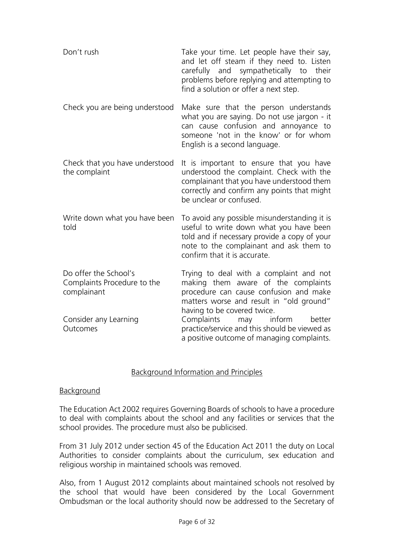| Don't rush                                                          | Take your time. Let people have their say,<br>and let off steam if they need to. Listen<br>carefully and sympathetically to<br>their<br>problems before replying and attempting to<br>find a solution or offer a next step. |
|---------------------------------------------------------------------|-----------------------------------------------------------------------------------------------------------------------------------------------------------------------------------------------------------------------------|
| Check you are being understood                                      | Make sure that the person understands<br>what you are saying. Do not use jargon - it<br>can cause confusion and annoyance to<br>someone 'not in the know' or for whom<br>English is a second language.                      |
| Check that you have understood<br>the complaint                     | It is important to ensure that you have<br>understood the complaint. Check with the<br>complainant that you have understood them<br>correctly and confirm any points that might<br>be unclear or confused.                  |
| Write down what you have been<br>told                               | To avoid any possible misunderstanding it is<br>useful to write down what you have been<br>told and if necessary provide a copy of your<br>note to the complainant and ask them to<br>confirm that it is accurate.          |
| Do offer the School's<br>Complaints Procedure to the<br>complainant | Trying to deal with a complaint and not<br>making them aware of the complaints<br>procedure can cause confusion and make<br>matters worse and result in "old ground"<br>having to be covered twice.                         |
| Consider any Learning<br>Outcomes                                   | Complaints<br>inform<br>better<br>may<br>practice/service and this should be viewed as<br>a positive outcome of managing complaints.                                                                                        |

#### Background Information and Principles

#### Background

The Education Act 2002 requires Governing Boards of schools to have a procedure to deal with complaints about the school and any facilities or services that the school provides. The procedure must also be publicised.

From 31 July 2012 under section 45 of the Education Act 2011 the duty on Local Authorities to consider complaints about the curriculum, sex education and religious worship in maintained schools was removed.

Also, from 1 August 2012 complaints about maintained schools not resolved by the school that would have been considered by the Local Government Ombudsman or the local authority should now be addressed to the Secretary of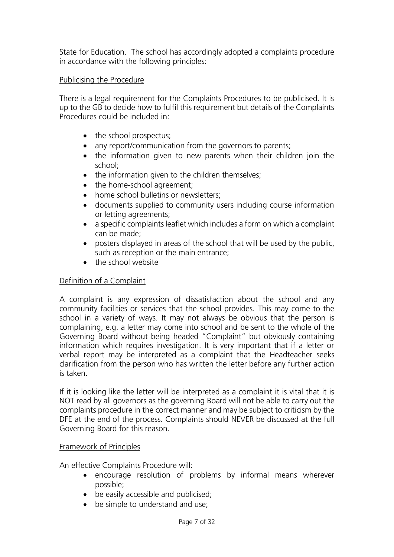State for Education. The school has accordingly adopted a complaints procedure in accordance with the following principles:

## Publicising the Procedure

There is a legal requirement for the Complaints Procedures to be publicised. It is up to the GB to decide how to fulfil this requirement but details of the Complaints Procedures could be included in:

- the school prospectus;
- any report/communication from the governors to parents;
- the information given to new parents when their children join the school;
- the information given to the children themselves;
- the home-school agreement;
- home school bulletins or newsletters:
- documents supplied to community users including course information or letting agreements;
- a specific complaints leaflet which includes a form on which a complaint can be made;
- posters displayed in areas of the school that will be used by the public, such as reception or the main entrance;
- the school website

## Definition of a Complaint

A complaint is any expression of dissatisfaction about the school and any community facilities or services that the school provides. This may come to the school in a variety of ways. It may not always be obvious that the person is complaining, e.g. a letter may come into school and be sent to the whole of the Governing Board without being headed "Complaint" but obviously containing information which requires investigation. It is very important that if a letter or verbal report may be interpreted as a complaint that the Headteacher seeks clarification from the person who has written the letter before any further action is taken.

If it is looking like the letter will be interpreted as a complaint it is vital that it is NOT read by all governors as the governing Board will not be able to carry out the complaints procedure in the correct manner and may be subject to criticism by the DFE at the end of the process. Complaints should NEVER be discussed at the full Governing Board for this reason.

#### Framework of Principles

An effective Complaints Procedure will:

- encourage resolution of problems by informal means wherever possible;
- be easily accessible and publicised;
- be simple to understand and use: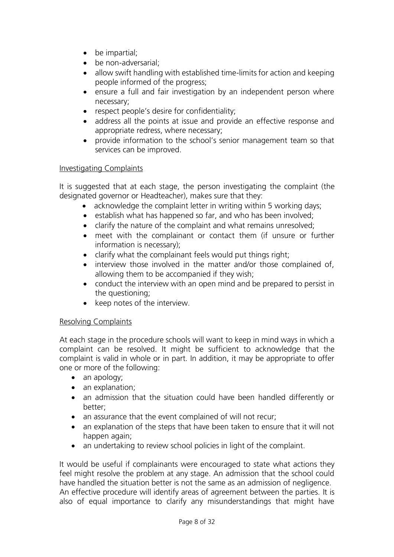- be impartial;
- be non-adversarial;
- allow swift handling with established time-limits for action and keeping people informed of the progress;
- ensure a full and fair investigation by an independent person where necessary;
- respect people's desire for confidentiality;
- address all the points at issue and provide an effective response and appropriate redress, where necessary;
- provide information to the school's senior management team so that services can be improved.

## Investigating Complaints

It is suggested that at each stage, the person investigating the complaint (the designated governor or Headteacher), makes sure that they:

- acknowledge the complaint letter in writing within 5 working days;
- establish what has happened so far, and who has been involved;
- clarify the nature of the complaint and what remains unresolved;
- meet with the complainant or contact them (if unsure or further information is necessary);
- clarify what the complainant feels would put things right;
- interview those involved in the matter and/or those complained of, allowing them to be accompanied if they wish;
- conduct the interview with an open mind and be prepared to persist in the questioning;
- keep notes of the interview.

## Resolving Complaints

At each stage in the procedure schools will want to keep in mind ways in which a complaint can be resolved. It might be sufficient to acknowledge that the complaint is valid in whole or in part. In addition, it may be appropriate to offer one or more of the following:

- an apology;
- an explanation;
- an admission that the situation could have been handled differently or better;
- an assurance that the event complained of will not recur;
- an explanation of the steps that have been taken to ensure that it will not happen again;
- an undertaking to review school policies in light of the complaint.

It would be useful if complainants were encouraged to state what actions they feel might resolve the problem at any stage. An admission that the school could have handled the situation better is not the same as an admission of negligence. An effective procedure will identify areas of agreement between the parties. It is also of equal importance to clarify any misunderstandings that might have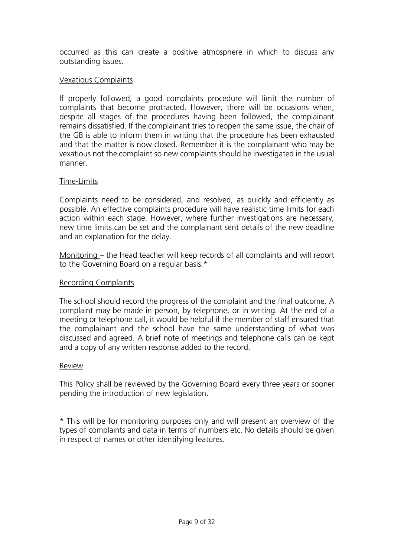occurred as this can create a positive atmosphere in which to discuss any outstanding issues.

## Vexatious Complaints

If properly followed, a good complaints procedure will limit the number of complaints that become protracted. However, there will be occasions when, despite all stages of the procedures having been followed, the complainant remains dissatisfied. If the complainant tries to reopen the same issue, the chair of the GB is able to inform them in writing that the procedure has been exhausted and that the matter is now closed. Remember it is the complainant who may be vexatious not the complaint so new complaints should be investigated in the usual manner.

#### Time-Limits

Complaints need to be considered, and resolved, as quickly and efficiently as possible. An effective complaints procedure will have realistic time limits for each action within each stage. However, where further investigations are necessary, new time limits can be set and the complainant sent details of the new deadline and an explanation for the delay.

Monitoring – the Head teacher will keep records of all complaints and will report to the Governing Board on a regular basis.\*

#### Recording Complaints

The school should record the progress of the complaint and the final outcome. A complaint may be made in person, by telephone, or in writing. At the end of a meeting or telephone call, it would be helpful if the member of staff ensured that the complainant and the school have the same understanding of what was discussed and agreed. A brief note of meetings and telephone calls can be kept and a copy of any written response added to the record.

#### Review

This Policy shall be reviewed by the Governing Board every three years or sooner pending the introduction of new legislation.

\* This will be for monitoring purposes only and will present an overview of the types of complaints and data in terms of numbers etc. No details should be given in respect of names or other identifying features.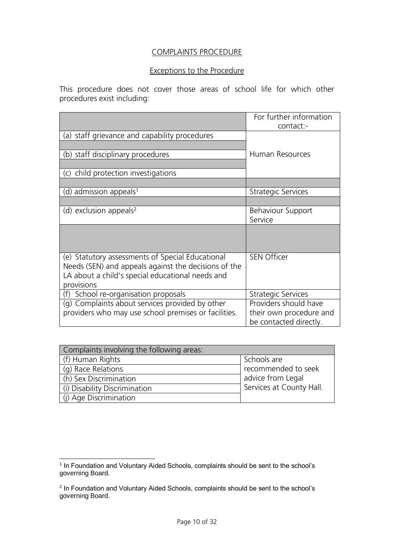## COMPLAINTS PROCEDURE

## Exceptions to the Procedure

This procedure does not cover those areas of school life for which other procedures exist including:

|                                                                                                                                                                            | For further information<br>contact:-              |
|----------------------------------------------------------------------------------------------------------------------------------------------------------------------------|---------------------------------------------------|
| (a) staff grievance and capability procedures                                                                                                                              |                                                   |
| (b) staff disciplinary procedures                                                                                                                                          | Human Resources                                   |
| child protection investigations<br>(C)                                                                                                                                     |                                                   |
|                                                                                                                                                                            |                                                   |
| (d) admission appeals <sup>1</sup>                                                                                                                                         | <b>Strategic Services</b>                         |
|                                                                                                                                                                            |                                                   |
| (d) exclusion appeals <sup>2</sup>                                                                                                                                         | <b>Behaviour Support</b><br>Service               |
|                                                                                                                                                                            |                                                   |
| (e) Statutory assessments of Special Educational<br>Needs (SEN) and appeals against the decisions of the<br>LA about a child's special educational needs and<br>provisions | <b>SEN Officer</b>                                |
| School re-organisation proposals<br>(f)                                                                                                                                    | <b>Strategic Services</b>                         |
| (g) Complaints about services provided by other                                                                                                                            | Providers should have                             |
| providers who may use school premises or facilities.                                                                                                                       | their own procedure and<br>be contacted directly. |

| Complaints involving the following areas: |                          |
|-------------------------------------------|--------------------------|
| (f) Human Rights                          | Schools are              |
| (g) Race Relations                        | recommended to seek      |
| (h) Sex Discrimination                    | advice from Legal        |
| (i) Disability Discrimination             | Services at County Hall. |
| (j) Age Discrimination                    |                          |

 1 In Foundation and Voluntary Aided Schools, complaints should be sent to the school's governing Board.

<sup>&</sup>lt;sup>2</sup> In Foundation and Voluntary Aided Schools, complaints should be sent to the school's governing Board.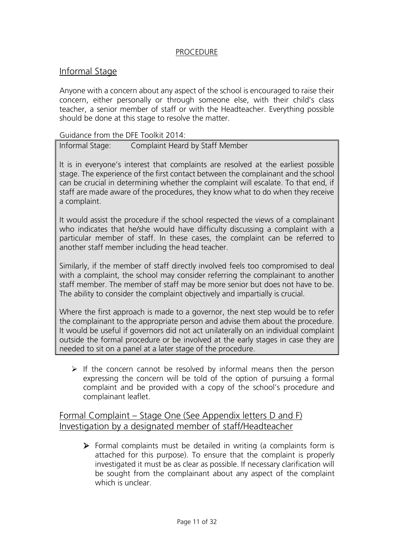## **PROCEDURE**

## Informal Stage

Anyone with a concern about any aspect of the school is encouraged to raise their concern, either personally or through someone else, with their child's class teacher, a senior member of staff or with the Headteacher. Everything possible should be done at this stage to resolve the matter.

Guidance from the DFE Toolkit 2014:

Informal Stage: Complaint Heard by Staff Member

It is in everyone's interest that complaints are resolved at the earliest possible stage. The experience of the first contact between the complainant and the school can be crucial in determining whether the complaint will escalate. To that end, if staff are made aware of the procedures, they know what to do when they receive a complaint.

It would assist the procedure if the school respected the views of a complainant who indicates that he/she would have difficulty discussing a complaint with a particular member of staff. In these cases, the complaint can be referred to another staff member including the head teacher.

Similarly, if the member of staff directly involved feels too compromised to deal with a complaint, the school may consider referring the complainant to another staff member. The member of staff may be more senior but does not have to be. The ability to consider the complaint objectively and impartially is crucial.

Where the first approach is made to a governor, the next step would be to refer the complainant to the appropriate person and advise them about the procedure. It would be useful if governors did not act unilaterally on an individual complaint outside the formal procedure or be involved at the early stages in case they are needed to sit on a panel at a later stage of the procedure.

 $\triangleright$  If the concern cannot be resolved by informal means then the person expressing the concern will be told of the option of pursuing a formal complaint and be provided with a copy of the school's procedure and complainant leaflet.

## Formal Complaint – Stage One (See Appendix letters D and F) Investigation by a designated member of staff/Headteacher

➢ Formal complaints must be detailed in writing (a complaints form is attached for this purpose). To ensure that the complaint is properly investigated it must be as clear as possible. If necessary clarification will be sought from the complainant about any aspect of the complaint which is unclear.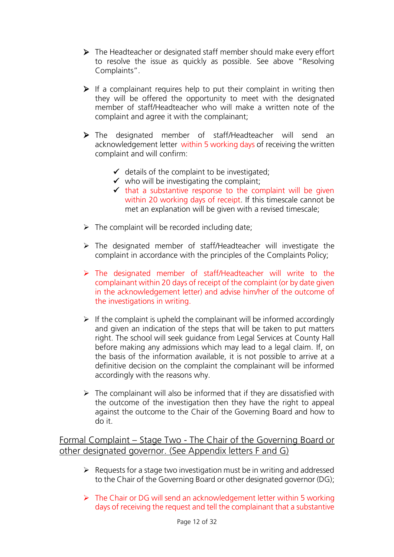- ➢ The Headteacher or designated staff member should make every effort to resolve the issue as quickly as possible. See above "Resolving Complaints".
- $\triangleright$  If a complainant requires help to put their complaint in writing then they will be offered the opportunity to meet with the designated member of staff/Headteacher who will make a written note of the complaint and agree it with the complainant;
- ➢ The designated member of staff/Headteacher will send an acknowledgement letter within 5 working days of receiving the written complaint and will confirm:
	- $\checkmark$  details of the complaint to be investigated;
	- $\checkmark$  who will be investigating the complaint;
	- $\checkmark$  that a substantive response to the complaint will be given within 20 working days of receipt. If this timescale cannot be met an explanation will be given with a revised timescale;
- $\triangleright$  The complaint will be recorded including date;
- ➢ The designated member of staff/Headteacher will investigate the complaint in accordance with the principles of the Complaints Policy;
- ➢ The designated member of staff/Headteacher will write to the complainant within 20 days of receipt of the complaint (or by date given in the acknowledgement letter) and advise him/her of the outcome of the investigations in writing.
- $\triangleright$  If the complaint is upheld the complainant will be informed accordingly and given an indication of the steps that will be taken to put matters right. The school will seek guidance from Legal Services at County Hall before making any admissions which may lead to a legal claim. If, on the basis of the information available, it is not possible to arrive at a definitive decision on the complaint the complainant will be informed accordingly with the reasons why.
- $\triangleright$  The complainant will also be informed that if they are dissatisfied with the outcome of the investigation then they have the right to appeal against the outcome to the Chair of the Governing Board and how to do it.

Formal Complaint – Stage Two - The Chair of the Governing Board or other designated governor. (See Appendix letters F and G)

- $\triangleright$  Requests for a stage two investigation must be in writing and addressed to the Chair of the Governing Board or other designated governor (DG);
- ➢ The Chair or DG will send an acknowledgement letter within 5 working days of receiving the request and tell the complainant that a substantive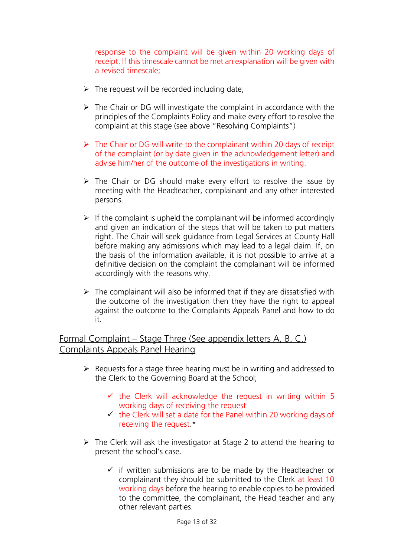response to the complaint will be given within 20 working days of receipt. If this timescale cannot be met an explanation will be given with a revised timescale;

- $\triangleright$  The request will be recorded including date;
- ➢ The Chair or DG will investigate the complaint in accordance with the principles of the Complaints Policy and make every effort to resolve the complaint at this stage (see above "Resolving Complaints")
- ➢ The Chair or DG will write to the complainant within 20 days of receipt of the complaint (or by date given in the acknowledgement letter) and advise him/her of the outcome of the investigations in writing.
- ➢ The Chair or DG should make every effort to resolve the issue by meeting with the Headteacher, complainant and any other interested persons.
- $\triangleright$  If the complaint is upheld the complainant will be informed accordingly and given an indication of the steps that will be taken to put matters right. The Chair will seek guidance from Legal Services at County Hall before making any admissions which may lead to a legal claim. If, on the basis of the information available, it is not possible to arrive at a definitive decision on the complaint the complainant will be informed accordingly with the reasons why.
- $\triangleright$  The complainant will also be informed that if they are dissatisfied with the outcome of the investigation then they have the right to appeal against the outcome to the Complaints Appeals Panel and how to do it.

Formal Complaint – Stage Three (See appendix letters A, B, C.) Complaints Appeals Panel Hearing

- $\triangleright$  Requests for a stage three hearing must be in writing and addressed to the Clerk to the Governing Board at the School;
	- $\checkmark$  the Clerk will acknowledge the request in writing within 5 working days of receiving the request
	- $\checkmark$  the Clerk will set a date for the Panel within 20 working days of receiving the request.\*
- $\triangleright$  The Clerk will ask the investigator at Stage 2 to attend the hearing to present the school's case.
	- $\checkmark$  if written submissions are to be made by the Headteacher or complainant they should be submitted to the Clerk at least 10 working days before the hearing to enable copies to be provided to the committee, the complainant, the Head teacher and any other relevant parties.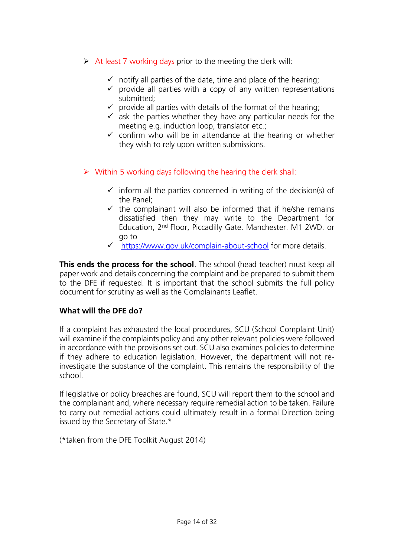- $\triangleright$  At least 7 working days prior to the meeting the clerk will:
	- $\checkmark$  notify all parties of the date, time and place of the hearing;
	- $\checkmark$  provide all parties with a copy of any written representations submitted;
	- $\checkmark$  provide all parties with details of the format of the hearing;
	- $\checkmark$  ask the parties whether they have any particular needs for the meeting e.g. induction loop, translator etc.;
	- $\checkmark$  confirm who will be in attendance at the hearing or whether they wish to rely upon written submissions.
- $\triangleright$  Within 5 working days following the hearing the clerk shall:
	- $\checkmark$  inform all the parties concerned in writing of the decision(s) of the Panel;
	- $\checkmark$  the complainant will also be informed that if he/she remains dissatisfied then they may write to the Department for Education, 2nd Floor, Piccadilly Gate. Manchester. M1 2WD. or go to
	- ✓ <https://www.gov.uk/complain-about-school> for more details.

**This ends the process for the school**. The school (head teacher) must keep all paper work and details concerning the complaint and be prepared to submit them to the DFE if requested. It is important that the school submits the full policy document for scrutiny as well as the Complainants Leaflet.

## **What will the DFE do?**

If a complaint has exhausted the local procedures, SCU (School Complaint Unit) will examine if the complaints policy and any other relevant policies were followed in accordance with the provisions set out. SCU also examines policies to determine if they adhere to education legislation. However, the department will not reinvestigate the substance of the complaint. This remains the responsibility of the school.

If legislative or policy breaches are found, SCU will report them to the school and the complainant and, where necessary require remedial action to be taken. Failure to carry out remedial actions could ultimately result in a formal Direction being issued by the Secretary of State.\*

(\*taken from the DFE Toolkit August 2014)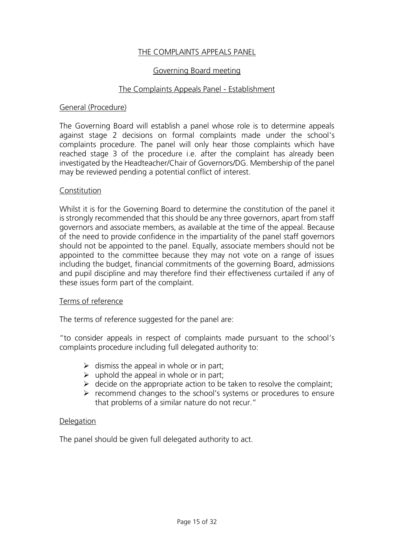## THE COMPLAINTS APPEALS PANEL

#### Governing Board meeting

#### The Complaints Appeals Panel - Establishment

#### General (Procedure)

The Governing Board will establish a panel whose role is to determine appeals against stage 2 decisions on formal complaints made under the school's complaints procedure. The panel will only hear those complaints which have reached stage 3 of the procedure i.e. after the complaint has already been investigated by the Headteacher/Chair of Governors/DG. Membership of the panel may be reviewed pending a potential conflict of interest.

#### Constitution

Whilst it is for the Governing Board to determine the constitution of the panel it is strongly recommended that this should be any three governors, apart from staff governors and associate members, as available at the time of the appeal. Because of the need to provide confidence in the impartiality of the panel staff governors should not be appointed to the panel. Equally, associate members should not be appointed to the committee because they may not vote on a range of issues including the budget, financial commitments of the governing Board, admissions and pupil discipline and may therefore find their effectiveness curtailed if any of these issues form part of the complaint.

#### Terms of reference

The terms of reference suggested for the panel are:

"to consider appeals in respect of complaints made pursuant to the school's complaints procedure including full delegated authority to:

- $\triangleright$  dismiss the appeal in whole or in part:
- $\triangleright$  uphold the appeal in whole or in part;
- $\triangleright$  decide on the appropriate action to be taken to resolve the complaint;
- ➢ recommend changes to the school's systems or procedures to ensure that problems of a similar nature do not recur."

#### **Delegation**

The panel should be given full delegated authority to act.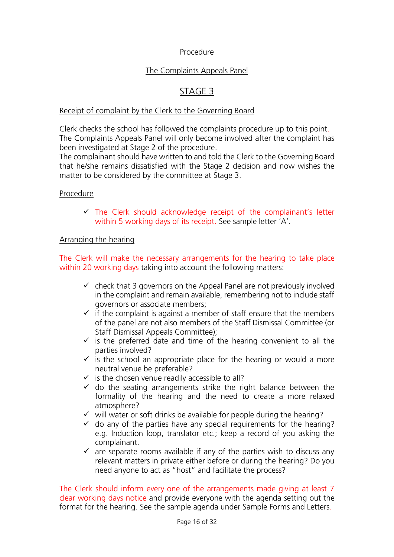## Procedure

## The Complaints Appeals Panel

## STAGE 3

#### Receipt of complaint by the Clerk to the Governing Board

Clerk checks the school has followed the complaints procedure up to this point. The Complaints Appeals Panel will only become involved after the complaint has been investigated at Stage 2 of the procedure.

The complainant should have written to and told the Clerk to the Governing Board that he/she remains dissatisfied with the Stage 2 decision and now wishes the matter to be considered by the committee at Stage 3.

#### Procedure

 $\checkmark$  The Clerk should acknowledge receipt of the complainant's letter within 5 working days of its receipt. See sample letter 'A'.

#### Arranging the hearing

The Clerk will make the necessary arrangements for the hearing to take place within 20 working days taking into account the following matters:

- $\checkmark$  check that 3 governors on the Appeal Panel are not previously involved in the complaint and remain available, remembering not to include staff governors or associate members;
- $\checkmark$  if the complaint is against a member of staff ensure that the members of the panel are not also members of the Staff Dismissal Committee (or Staff Dismissal Appeals Committee);
- $\checkmark$  is the preferred date and time of the hearing convenient to all the parties involved?
- $\checkmark$  is the school an appropriate place for the hearing or would a more neutral venue be preferable?
- $\checkmark$  is the chosen venue readily accessible to all?
- $\checkmark$  do the seating arrangements strike the right balance between the formality of the hearing and the need to create a more relaxed atmosphere?
- $\checkmark$  will water or soft drinks be available for people during the hearing?
- $\checkmark$  do any of the parties have any special requirements for the hearing? e.g. Induction loop, translator etc.; keep a record of you asking the complainant.
- $\checkmark$  are separate rooms available if any of the parties wish to discuss any relevant matters in private either before or during the hearing? Do you need anyone to act as "host" and facilitate the process?

The Clerk should inform every one of the arrangements made giving at least 7 clear working days notice and provide everyone with the agenda setting out the format for the hearing. See the sample agenda under Sample Forms and Letters.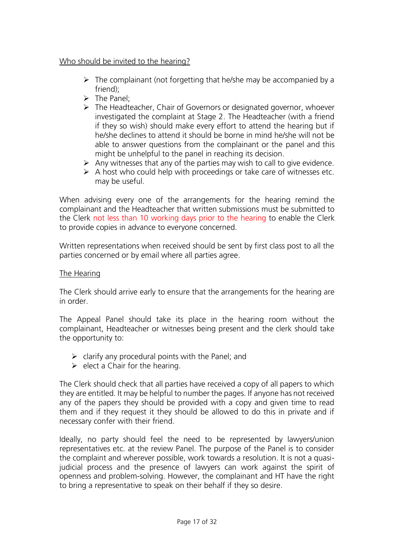## Who should be invited to the hearing?

- $\triangleright$  The complainant (not forgetting that he/she may be accompanied by a friend);
- $\triangleright$  The Panel:
- ➢ The Headteacher, Chair of Governors or designated governor, whoever investigated the complaint at Stage 2. The Headteacher (with a friend if they so wish) should make every effort to attend the hearing but if he/she declines to attend it should be borne in mind he/she will not be able to answer questions from the complainant or the panel and this might be unhelpful to the panel in reaching its decision.
- $\triangleright$  Any witnesses that any of the parties may wish to call to give evidence.
- $\triangleright$  A host who could help with proceedings or take care of witnesses etc. may be useful.

When advising every one of the arrangements for the hearing remind the complainant and the Headteacher that written submissions must be submitted to the Clerk not less than 10 working days prior to the hearing to enable the Clerk to provide copies in advance to everyone concerned.

Written representations when received should be sent by first class post to all the parties concerned or by email where all parties agree.

## The Hearing

The Clerk should arrive early to ensure that the arrangements for the hearing are in order.

The Appeal Panel should take its place in the hearing room without the complainant, Headteacher or witnesses being present and the clerk should take the opportunity to:

- $\triangleright$  clarify any procedural points with the Panel; and
- $\triangleright$  elect a Chair for the hearing.

The Clerk should check that all parties have received a copy of all papers to which they are entitled. It may be helpful to number the pages. If anyone has not received any of the papers they should be provided with a copy and given time to read them and if they request it they should be allowed to do this in private and if necessary confer with their friend.

Ideally, no party should feel the need to be represented by lawyers/union representatives etc. at the review Panel. The purpose of the Panel is to consider the complaint and wherever possible, work towards a resolution. It is not a quasijudicial process and the presence of lawyers can work against the spirit of openness and problem-solving. However, the complainant and HT have the right to bring a representative to speak on their behalf if they so desire.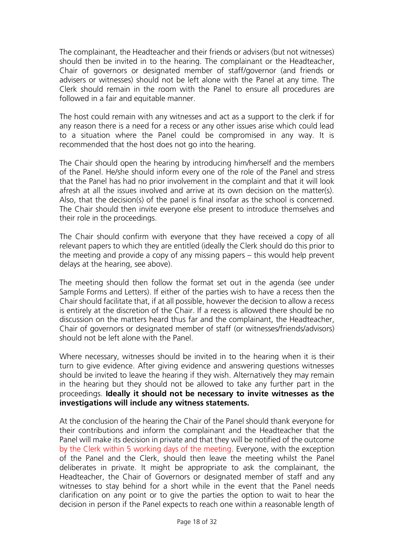The complainant, the Headteacher and their friends or advisers (but not witnesses) should then be invited in to the hearing. The complainant or the Headteacher, Chair of governors or designated member of staff/governor (and friends or advisers or witnesses) should not be left alone with the Panel at any time. The Clerk should remain in the room with the Panel to ensure all procedures are followed in a fair and equitable manner.

The host could remain with any witnesses and act as a support to the clerk if for any reason there is a need for a recess or any other issues arise which could lead to a situation where the Panel could be compromised in any way. It is recommended that the host does not go into the hearing.

The Chair should open the hearing by introducing him/herself and the members of the Panel. He/she should inform every one of the role of the Panel and stress that the Panel has had no prior involvement in the complaint and that it will look afresh at all the issues involved and arrive at its own decision on the matter(s). Also, that the decision(s) of the panel is final insofar as the school is concerned. The Chair should then invite everyone else present to introduce themselves and their role in the proceedings.

The Chair should confirm with everyone that they have received a copy of all relevant papers to which they are entitled (ideally the Clerk should do this prior to the meeting and provide a copy of any missing papers – this would help prevent delays at the hearing, see above).

The meeting should then follow the format set out in the agenda (see under Sample Forms and Letters). If either of the parties wish to have a recess then the Chair should facilitate that, if at all possible, however the decision to allow a recess is entirely at the discretion of the Chair. If a recess is allowed there should be no discussion on the matters heard thus far and the complainant, the Headteacher, Chair of governors or designated member of staff (or witnesses/friends/advisors) should not be left alone with the Panel.

Where necessary, witnesses should be invited in to the hearing when it is their turn to give evidence. After giving evidence and answering questions witnesses should be invited to leave the hearing if they wish. Alternatively they may remain in the hearing but they should not be allowed to take any further part in the proceedings. **Ideally it should not be necessary to invite witnesses as the investigations will include any witness statements.**

At the conclusion of the hearing the Chair of the Panel should thank everyone for their contributions and inform the complainant and the Headteacher that the Panel will make its decision in private and that they will be notified of the outcome by the Clerk within 5 working days of the meeting. Everyone, with the exception of the Panel and the Clerk, should then leave the meeting whilst the Panel deliberates in private. It might be appropriate to ask the complainant, the Headteacher, the Chair of Governors or designated member of staff and any witnesses to stay behind for a short while in the event that the Panel needs clarification on any point or to give the parties the option to wait to hear the decision in person if the Panel expects to reach one within a reasonable length of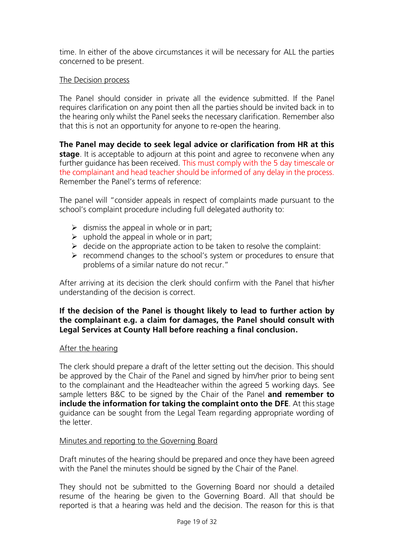time. In either of the above circumstances it will be necessary for ALL the parties concerned to be present.

## The Decision process

The Panel should consider in private all the evidence submitted. If the Panel requires clarification on any point then all the parties should be invited back in to the hearing only whilst the Panel seeks the necessary clarification. Remember also that this is not an opportunity for anyone to re-open the hearing.

**The Panel may decide to seek legal advice or clarification from HR at this stage**. It is acceptable to adjourn at this point and agree to reconvene when any further guidance has been received. This must comply with the 5 day timescale or the complainant and head teacher should be informed of any delay in the process. Remember the Panel's terms of reference:

The panel will "consider appeals in respect of complaints made pursuant to the school's complaint procedure including full delegated authority to:

- $\triangleright$  dismiss the appeal in whole or in part;
- $\triangleright$  uphold the appeal in whole or in part;
- $\triangleright$  decide on the appropriate action to be taken to resolve the complaint:
- ➢ recommend changes to the school's system or procedures to ensure that problems of a similar nature do not recur."

After arriving at its decision the clerk should confirm with the Panel that his/her understanding of the decision is correct.

## **If the decision of the Panel is thought likely to lead to further action by the complainant e.g. a claim for damages, the Panel should consult with Legal Services at County Hall before reaching a final conclusion.**

#### After the hearing

The clerk should prepare a draft of the letter setting out the decision. This should be approved by the Chair of the Panel and signed by him/her prior to being sent to the complainant and the Headteacher within the agreed 5 working days. See sample letters B&C to be signed by the Chair of the Panel **and remember to include the information for taking the complaint onto the DFE**. At this stage guidance can be sought from the Legal Team regarding appropriate wording of the letter.

#### Minutes and reporting to the Governing Board

Draft minutes of the hearing should be prepared and once they have been agreed with the Panel the minutes should be signed by the Chair of the Panel.

They should not be submitted to the Governing Board nor should a detailed resume of the hearing be given to the Governing Board. All that should be reported is that a hearing was held and the decision. The reason for this is that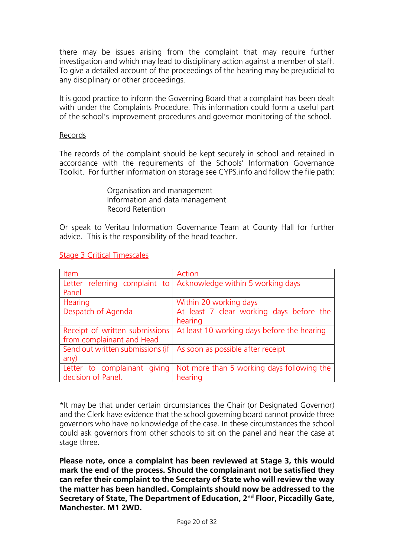there may be issues arising from the complaint that may require further investigation and which may lead to disciplinary action against a member of staff. To give a detailed account of the proceedings of the hearing may be prejudicial to any disciplinary or other proceedings.

It is good practice to inform the Governing Board that a complaint has been dealt with under the Complaints Procedure. This information could form a useful part of the school's improvement procedures and governor monitoring of the school.

#### Records

The records of the complaint should be kept securely in school and retained in accordance with the requirements of the Schools' Information Governance Toolkit. For further information on storage see CYPS.info and follow the file path:

> Organisation and management Information and data management Record Retention

Or speak to Veritau Information Governance Team at County Hall for further advice. This is the responsibility of the head teacher.

| Item                             | Action                                                            |
|----------------------------------|-------------------------------------------------------------------|
|                                  | Letter referring complaint to   Acknowledge within 5 working days |
| Panel                            |                                                                   |
| Hearing                          | Within 20 working days                                            |
| Despatch of Agenda               | At least 7 clear working days before the                          |
|                                  | hearing                                                           |
| Receipt of written submissions   | At least 10 working days before the hearing                       |
| from complainant and Head        |                                                                   |
| Send out written submissions (if | As soon as possible after receipt                                 |
| any)                             |                                                                   |
| giving<br>Letter to complainant  | Not more than 5 working days following the                        |
| decision of Panel.               | hearing                                                           |

#### Stage 3 Critical Timescales

\*It may be that under certain circumstances the Chair (or Designated Governor) and the Clerk have evidence that the school governing board cannot provide three governors who have no knowledge of the case. In these circumstances the school could ask governors from other schools to sit on the panel and hear the case at stage three.

**Please note, once a complaint has been reviewed at Stage 3, this would mark the end of the process. Should the complainant not be satisfied they can refer their complaint to the Secretary of State who will review the way the matter has been handled. Complaints should now be addressed to the Secretary of State, The Department of Education, 2nd Floor, Piccadilly Gate, Manchester. M1 2WD.**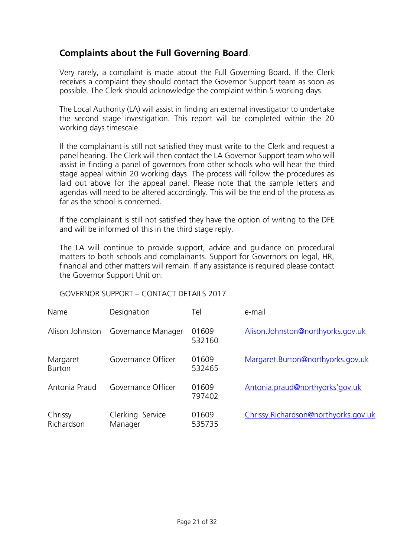# **Complaints about the Full Governing Board**.

Very rarely, a complaint is made about the Full Governing Board. If the Clerk receives a complaint they should contact the Governor Support team as soon as possible. The Clerk should acknowledge the complaint within 5 working days.

The Local Authority (LA) will assist in finding an external investigator to undertake the second stage investigation. This report will be completed within the 20 working days timescale.

If the complainant is still not satisfied they must write to the Clerk and request a panel hearing. The Clerk will then contact the LA Governor Support team who will assist in finding a panel of governors from other schools who will hear the third stage appeal within 20 working days. The process will follow the procedures as laid out above for the appeal panel. Please note that the sample letters and agendas will need to be altered accordingly. This will be the end of the process as far as the school is concerned.

If the complainant is still not satisfied they have the option of writing to the DFE and will be informed of this in the third stage reply.

The LA will continue to provide support, advice and guidance on procedural matters to both schools and complainants. Support for Governors on legal, HR, financial and other matters will remain. If any assistance is required please contact the Governor Support Unit on:

GOVERNOR SUPPORT – CONTACT DETAILS 2017

| Name                      | Designation                 | Tel             | e-mail                               |
|---------------------------|-----------------------------|-----------------|--------------------------------------|
| Alison Johnston           | Governance Manager          | 01609<br>532160 | Alison.Johnston@northyorks.gov.uk    |
| Margaret<br><b>Burton</b> | Governance Officer          | 01609<br>532465 | Margaret.Burton@northyorks.gov.uk    |
| Antonia Praud             | Governance Officer          | 01609<br>797402 | Antonia.praud@northyorks'gov.uk      |
| Chrissy<br>Richardson     | Clerking Service<br>Manager | 01609<br>535735 | Chrissy.Richardson@northyorks.gov.uk |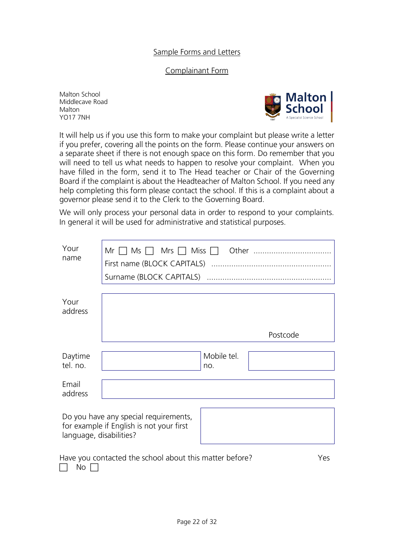## Sample Forms and Letters

#### Complainant Form

Malton School Middlecave Road Malton YO17 7NH



It will help us if you use this form to make your complaint but please write a letter if you prefer, covering all the points on the form. Please continue your answers on a separate sheet if there is not enough space on this form. Do remember that you will need to tell us what needs to happen to resolve your complaint. When you have filled in the form, send it to The Head teacher or Chair of the Governing Board if the complaint is about the Headteacher of Malton School. If you need any help completing this form please contact the school. If this is a complaint about a governor please send it to the Clerk to the Governing Board.

We will only process your personal data in order to respond to your complaints. In general it will be used for administrative and statistical purposes.

| Your<br>name            | $Mr \cap Ms \cap Mrs \cap Miss \cap$<br>Surname (BLOCK CAPITALS)                  |                    |          |     |
|-------------------------|-----------------------------------------------------------------------------------|--------------------|----------|-----|
| Your<br>address         |                                                                                   |                    |          |     |
|                         |                                                                                   |                    | Postcode |     |
| Daytime<br>tel. no.     |                                                                                   | Mobile tel.<br>no. |          |     |
| Email<br>address        |                                                                                   |                    |          |     |
| language, disabilities? | Do you have any special requirements,<br>for example if English is not your first |                    |          |     |
| No                      | Have you contacted the school about this matter before?                           |                    |          | Yes |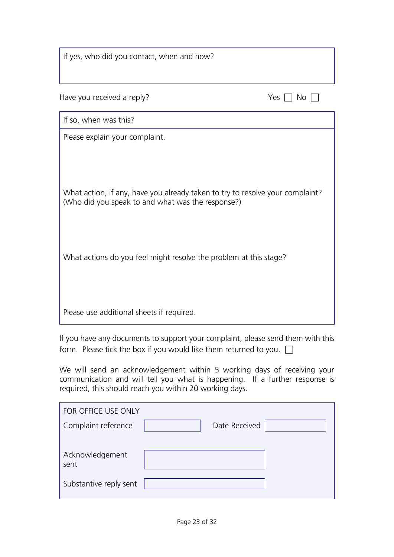| If yes, who did you contact, when and how?                                                                                         |                         |
|------------------------------------------------------------------------------------------------------------------------------------|-------------------------|
| Have you received a reply?                                                                                                         | Yes<br>$\Box$ No $\Box$ |
| If so, when was this?                                                                                                              |                         |
| Please explain your complaint.                                                                                                     |                         |
| What action, if any, have you already taken to try to resolve your complaint?<br>(Who did you speak to and what was the response?) |                         |
| What actions do you feel might resolve the problem at this stage?                                                                  |                         |
| Please use additional sheets if required.                                                                                          |                         |

If you have any documents to support your complaint, please send them with this form. Please tick the box if you would like them returned to you.  $\square$ 

We will send an acknowledgement within 5 working days of receiving your communication and will tell you what is happening. If a further response is required, this should reach you within 20 working days.

| FOR OFFICE USE ONLY     |               |  |
|-------------------------|---------------|--|
| Complaint reference     | Date Received |  |
|                         |               |  |
| Acknowledgement<br>sent |               |  |
| Substantive reply sent  |               |  |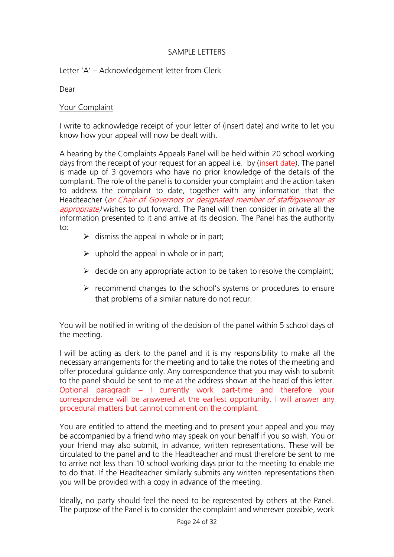## SAMPLE LETTERS

Letter 'A' – Acknowledgement letter from Clerk

Dear

## Your Complaint

I write to acknowledge receipt of your letter of (insert date) and write to let you know how your appeal will now be dealt with.

A hearing by the Complaints Appeals Panel will be held within 20 school working days from the receipt of your request for an appeal i.e. by (insert date). The panel is made up of 3 governors who have no prior knowledge of the details of the complaint. The role of the panel is to consider your complaint and the action taken to address the complaint to date, together with any information that the Headteacher (or Chair of Governors or designated member of staff/governor as appropriate) wishes to put forward. The Panel will then consider in private all the information presented to it and arrive at its decision. The Panel has the authority to:

- $\triangleright$  dismiss the appeal in whole or in part;
- $\triangleright$  uphold the appeal in whole or in part;
- $\triangleright$  decide on any appropriate action to be taken to resolve the complaint;
- ➢ recommend changes to the school's systems or procedures to ensure that problems of a similar nature do not recur.

You will be notified in writing of the decision of the panel within 5 school days of the meeting.

I will be acting as clerk to the panel and it is my responsibility to make all the necessary arrangements for the meeting and to take the notes of the meeting and offer procedural guidance only. Any correspondence that you may wish to submit to the panel should be sent to me at the address shown at the head of this letter. Optional paragraph – I currently work part-time and therefore your correspondence will be answered at the earliest opportunity. I will answer any procedural matters but cannot comment on the complaint.

You are entitled to attend the meeting and to present your appeal and you may be accompanied by a friend who may speak on your behalf if you so wish. You or your friend may also submit, in advance, written representations. These will be circulated to the panel and to the Headteacher and must therefore be sent to me to arrive not less than 10 school working days prior to the meeting to enable me to do that. If the Headteacher similarly submits any written representations then you will be provided with a copy in advance of the meeting.

Ideally, no party should feel the need to be represented by others at the Panel. The purpose of the Panel is to consider the complaint and wherever possible, work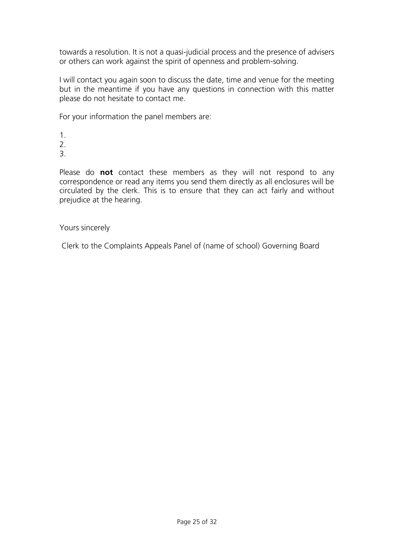towards a resolution. It is not a quasi-judicial process and the presence of advisers or others can work against the spirit of openness and problem-solving.

I will contact you again soon to discuss the date, time and venue for the meeting but in the meantime if you have any questions in connection with this matter please do not hesitate to contact me.

For your information the panel members are:

- 1.
- 2.
- 3.

Please do **not** contact these members as they will not respond to any correspondence or read any items you send them directly as all enclosures will be circulated by the clerk. This is to ensure that they can act fairly and without prejudice at the hearing.

## Yours sincerely

Clerk to the Complaints Appeals Panel of (name of school) Governing Board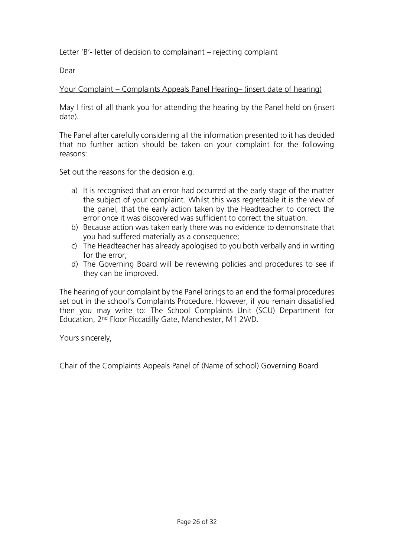Letter 'B'- letter of decision to complainant – rejecting complaint

Dear

## Your Complaint – Complaints Appeals Panel Hearing– (insert date of hearing)

May I first of all thank you for attending the hearing by the Panel held on (insert date).

The Panel after carefully considering all the information presented to it has decided that no further action should be taken on your complaint for the following reasons:

Set out the reasons for the decision e.g.

- a) It is recognised that an error had occurred at the early stage of the matter the subject of your complaint. Whilst this was regrettable it is the view of the panel, that the early action taken by the Headteacher to correct the error once it was discovered was sufficient to correct the situation.
- b) Because action was taken early there was no evidence to demonstrate that you had suffered materially as a consequence;
- c) The Headteacher has already apologised to you both verbally and in writing for the error;
- d) The Governing Board will be reviewing policies and procedures to see if they can be improved.

The hearing of your complaint by the Panel brings to an end the formal procedures set out in the school's Complaints Procedure. However, if you remain dissatisfied then you may write to: The School Complaints Unit (SCU) Department for Education, 2nd Floor Piccadilly Gate, Manchester, M1 2WD.

Yours sincerely,

Chair of the Complaints Appeals Panel of (Name of school) Governing Board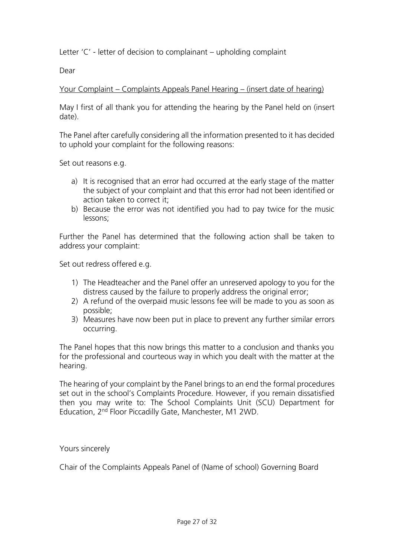Letter 'C' - letter of decision to complainant – upholding complaint

Dear

## Your Complaint – Complaints Appeals Panel Hearing – (insert date of hearing)

May I first of all thank you for attending the hearing by the Panel held on (insert date).

The Panel after carefully considering all the information presented to it has decided to uphold your complaint for the following reasons:

Set out reasons e.g.

- a) It is recognised that an error had occurred at the early stage of the matter the subject of your complaint and that this error had not been identified or action taken to correct it;
- b) Because the error was not identified you had to pay twice for the music lessons;

Further the Panel has determined that the following action shall be taken to address your complaint:

Set out redress offered e.g.

- 1) The Headteacher and the Panel offer an unreserved apology to you for the distress caused by the failure to properly address the original error;
- 2) A refund of the overpaid music lessons fee will be made to you as soon as possible;
- 3) Measures have now been put in place to prevent any further similar errors occurring.

The Panel hopes that this now brings this matter to a conclusion and thanks you for the professional and courteous way in which you dealt with the matter at the hearing.

The hearing of your complaint by the Panel brings to an end the formal procedures set out in the school's Complaints Procedure. However, if you remain dissatisfied then you may write to: The School Complaints Unit (SCU) Department for Education, 2nd Floor Piccadilly Gate, Manchester, M1 2WD.

## Yours sincerely

Chair of the Complaints Appeals Panel of (Name of school) Governing Board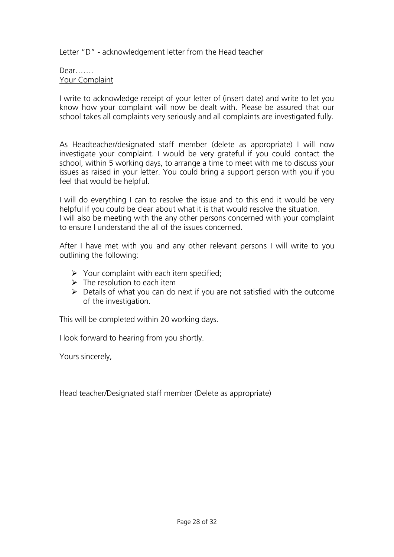Letter "D" - acknowledgement letter from the Head teacher

#### Dear……. Your Complaint

I write to acknowledge receipt of your letter of (insert date) and write to let you know how your complaint will now be dealt with. Please be assured that our school takes all complaints very seriously and all complaints are investigated fully.

As Headteacher/designated staff member (delete as appropriate) I will now investigate your complaint. I would be very grateful if you could contact the school, within 5 working days, to arrange a time to meet with me to discuss your issues as raised in your letter. You could bring a support person with you if you feel that would be helpful.

I will do everything I can to resolve the issue and to this end it would be very helpful if you could be clear about what it is that would resolve the situation. I will also be meeting with the any other persons concerned with your complaint to ensure I understand the all of the issues concerned.

After I have met with you and any other relevant persons I will write to you outlining the following:

- $\triangleright$  Your complaint with each item specified;
- $\triangleright$  The resolution to each item
- $\triangleright$  Details of what you can do next if you are not satisfied with the outcome of the investigation.

This will be completed within 20 working days.

I look forward to hearing from you shortly.

Yours sincerely,

Head teacher/Designated staff member (Delete as appropriate)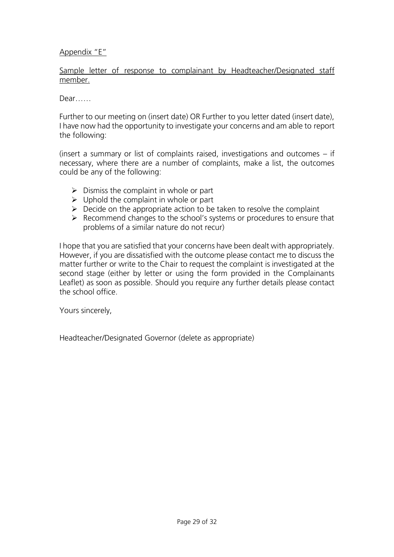## Appendix "E"

Sample letter of response to complainant by Headteacher/Designated staff member.

Dear……

Further to our meeting on (insert date) OR Further to you letter dated (insert date), I have now had the opportunity to investigate your concerns and am able to report the following:

(insert a summary or list of complaints raised, investigations and outcomes – if necessary, where there are a number of complaints, make a list, the outcomes could be any of the following:

- $\triangleright$  Dismiss the complaint in whole or part
- $\triangleright$  Uphold the complaint in whole or part
- $\triangleright$  Decide on the appropriate action to be taken to resolve the complaint
- ➢ Recommend changes to the school's systems or procedures to ensure that problems of a similar nature do not recur)

I hope that you are satisfied that your concerns have been dealt with appropriately. However, if you are dissatisfied with the outcome please contact me to discuss the matter further or write to the Chair to request the complaint is investigated at the second stage (either by letter or using the form provided in the Complainants Leaflet) as soon as possible. Should you require any further details please contact the school office.

Yours sincerely,

Headteacher/Designated Governor (delete as appropriate)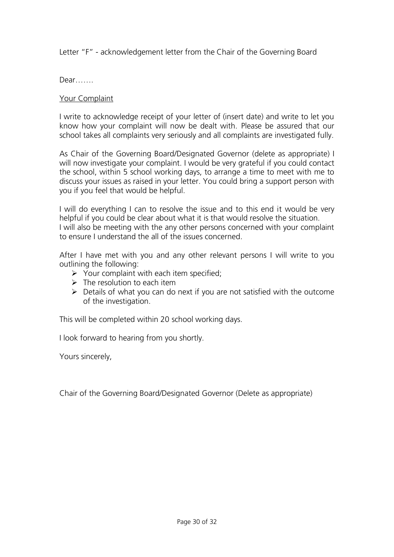Letter "F" - acknowledgement letter from the Chair of the Governing Board

Dear…….

## Your Complaint

I write to acknowledge receipt of your letter of (insert date) and write to let you know how your complaint will now be dealt with. Please be assured that our school takes all complaints very seriously and all complaints are investigated fully.

As Chair of the Governing Board/Designated Governor (delete as appropriate) I will now investigate your complaint. I would be very grateful if you could contact the school, within 5 school working days, to arrange a time to meet with me to discuss your issues as raised in your letter. You could bring a support person with you if you feel that would be helpful.

I will do everything I can to resolve the issue and to this end it would be very helpful if you could be clear about what it is that would resolve the situation. I will also be meeting with the any other persons concerned with your complaint to ensure I understand the all of the issues concerned.

After I have met with you and any other relevant persons I will write to you outlining the following:

- $\triangleright$  Your complaint with each item specified;
- $\triangleright$  The resolution to each item
- $\triangleright$  Details of what you can do next if you are not satisfied with the outcome of the investigation.

This will be completed within 20 school working days.

I look forward to hearing from you shortly.

Yours sincerely,

Chair of the Governing Board/Designated Governor (Delete as appropriate)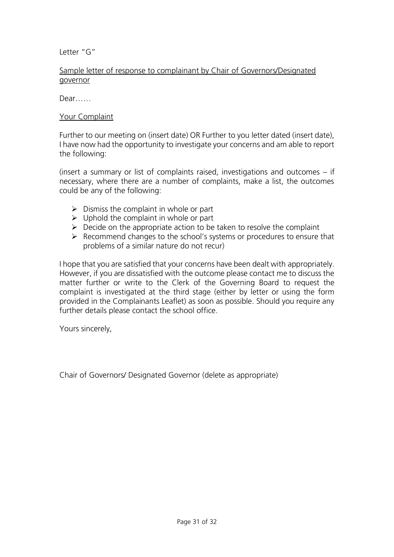Letter "G"

## Sample letter of response to complainant by Chair of Governors/Designated governor

Dear……

#### Your Complaint

Further to our meeting on (insert date) OR Further to you letter dated (insert date), I have now had the opportunity to investigate your concerns and am able to report the following:

(insert a summary or list of complaints raised, investigations and outcomes – if necessary, where there are a number of complaints, make a list, the outcomes could be any of the following:

- $\triangleright$  Dismiss the complaint in whole or part
- $\triangleright$  Uphold the complaint in whole or part
- $\triangleright$  Decide on the appropriate action to be taken to resolve the complaint
- ➢ Recommend changes to the school's systems or procedures to ensure that problems of a similar nature do not recur)

I hope that you are satisfied that your concerns have been dealt with appropriately. However, if you are dissatisfied with the outcome please contact me to discuss the matter further or write to the Clerk of the Governing Board to request the complaint is investigated at the third stage (either by letter or using the form provided in the Complainants Leaflet) as soon as possible. Should you require any further details please contact the school office.

Yours sincerely,

Chair of Governors/ Designated Governor (delete as appropriate)